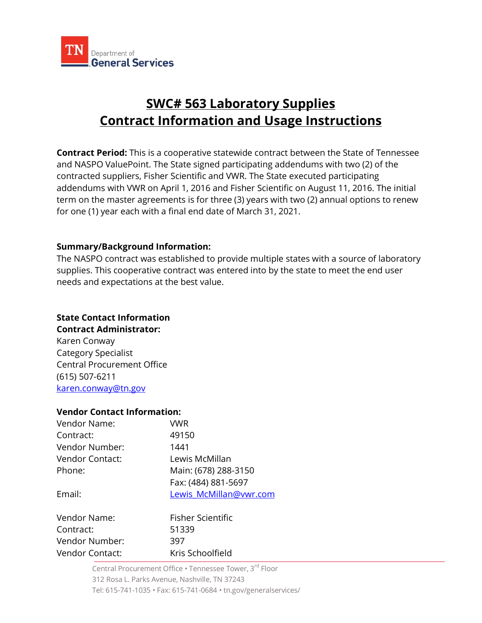

# **SWC# 563 Laboratory Supplies Contract Information and Usage Instructions**

**Contract Period:** This is a cooperative statewide contract between the State of Tennessee and NASPO ValuePoint. The State signed participating addendums with two (2) of the contracted suppliers, Fisher Scientific and VWR. The State executed participating addendums with VWR on April 1, 2016 and Fisher Scientific on August 11, 2016. The initial term on the master agreements is for three (3) years with two (2) annual options to renew for one (1) year each with a final end date of March 31, 2021.

## **Summary/Background Information:**

The NASPO contract was established to provide multiple states with a source of laboratory supplies. This cooperative contract was entered into by the state to meet the end user needs and expectations at the best value.

#### **State Contact Information Contract Administrator:**

Karen Conway Category Specialist Central Procurement Office (615) 507-6211 [karen.conway@tn.gov](mailto:Maggie.Wilson@tn.gov)

#### **Vendor Contact Information:**

| Vendor Name:           | VWR                    |
|------------------------|------------------------|
| Contract:              | 49150                  |
| Vendor Number:         | 1441                   |
| <b>Vendor Contact:</b> | Lewis McMillan         |
| Phone:                 | Main: (678) 288-3150   |
|                        | Fax: (484) 881-5697    |
| Email:                 | Lewis McMillan@vwr.com |
| Vendor Name:           | Fisher Scientific      |
| Contract:              | 51339                  |
| Vendor Number:         | 397                    |
| Vendor Contact:        | Kris Schoolfield       |

Central Procurement Office • Tennessee Tower, 3rd Floor 312 Rosa L. Parks Avenue, Nashville, TN 37243 Tel: 615-741-1035 • Fax: 615-741-0684 • tn.gov/generalservices/